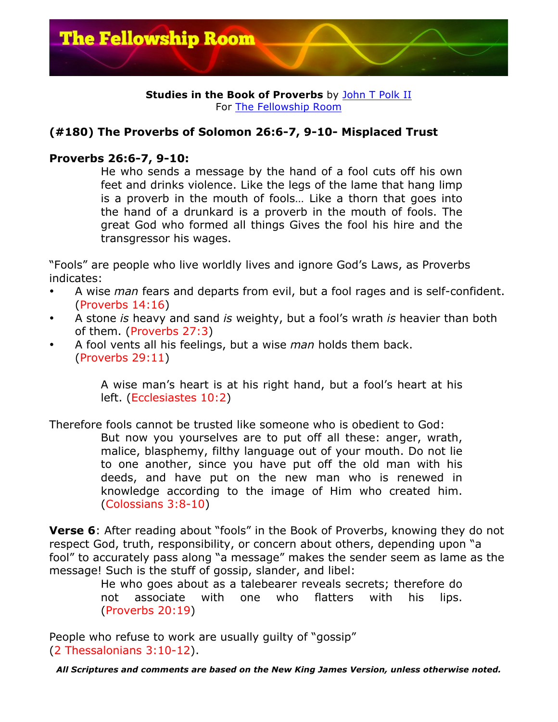

## **Studies in the Book of Proverbs** by John T Polk II For The Fellowship Room

## **(#180) The Proverbs of Solomon 26:6-7, 9-10- Misplaced Trust**

## **Proverbs 26:6-7, 9-10:**

He who sends a message by the hand of a fool cuts off his own feet and drinks violence. Like the legs of the lame that hang limp is a proverb in the mouth of fools… Like a thorn that goes into the hand of a drunkard is a proverb in the mouth of fools. The great God who formed all things Gives the fool his hire and the transgressor his wages.

"Fools" are people who live worldly lives and ignore God's Laws, as Proverbs indicates:

- A wise *man* fears and departs from evil, but a fool rages and is self-confident. (Proverbs 14:16)
- A stone *is* heavy and sand *is* weighty, but a fool's wrath *is* heavier than both of them. (Proverbs 27:3)
- A fool vents all his feelings, but a wise *man* holds them back. (Proverbs 29:11)

A wise man's heart is at his right hand, but a fool's heart at his left. (Ecclesiastes 10:2)

Therefore fools cannot be trusted like someone who is obedient to God: But now you yourselves are to put off all these: anger, wrath, malice, blasphemy, filthy language out of your mouth. Do not lie to one another, since you have put off the old man with his deeds, and have put on the new man who is renewed in knowledge according to the image of Him who created him. (Colossians 3:8-10)

**Verse 6**: After reading about "fools" in the Book of Proverbs, knowing they do not respect God, truth, responsibility, or concern about others, depending upon "a fool" to accurately pass along "a message" makes the sender seem as lame as the message! Such is the stuff of gossip, slander, and libel:

He who goes about as a talebearer reveals secrets; therefore do not associate with one who flatters with his lips. (Proverbs 20:19)

People who refuse to work are usually guilty of "gossip" (2 Thessalonians 3:10-12).

*All Scriptures and comments are based on the New King James Version, unless otherwise noted.*